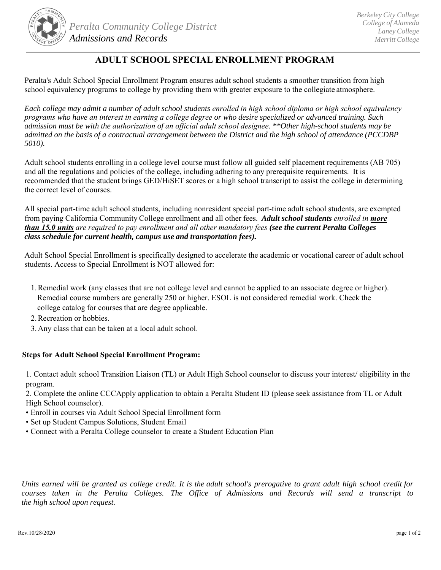

## **ADULT SCHOOL SPECIAL ENROLLMENT PROGRAM**

Peralta's Adult School Special Enrollment Program ensures adult school students a smoother transition from high school equivalency programs to college by providing them with greater exposure to the collegiate atmosphere.

*Each college may admit a number of adult school students enrolled in high school diploma or high school equivalency programs who have an interest in earning a college degree or who desire specialized or advanced training. Such admission must be with the authorization of an official adult school designee. \*\*Other high-school students may be admitted on the basis of a contractual arrangement between the District and the high school of attendance (PCCDBP 5010).*

Adult school students enrolling in a college level course must follow all guided self placement requirements (AB 705) and all the regulations and policies of the college, including adhering to any prerequisite requirements. It is recommended that the student brings GED/HiSET scores or a high school transcript to assist the college in determining the correct level of courses.

All special part-time adult school students, including nonresident special part-time adult school students, are exempted from paying California Community College enrollment and all other fees. *Adult school students enrolled in more than 15.0 units are required to pay enrollment and all other mandatory fees (see the current Peralta Colleges class schedule for current health, campus use and transportation fees).* 

Adult School Special Enrollment is specifically designed to accelerate the academic or vocational career of adult school students. Access to Special Enrollment is NOT allowed for:

- 1.Remedial work (any classes that are not college level and cannot be applied to an associate degree or higher). Remedial course numbers are generally 250 or higher. ESOL is not considered remedial work. Check the college catalog for courses that are degree applicable.
- 2.Recreation or hobbies.
- 3.Any class that can be taken at a local adult school.

## **Steps for Adult School Special Enrollment Program:**

1. Contact adult school Transition Liaison (TL) or Adult High School counselor to discuss your interest/ eligibility in the program.

2. Complete the online CCCApply application to obtain a Peralta Student ID (please seek assistance from TL or Adult High School counselor).

- Enroll in courses via Adult School Special Enrollment form
- Set up Student Campus Solutions, Student Email
- Connect with a Peralta College counselor to create a Student Education Plan

*Units earned will be granted as college credit. It is the adult school's prerogative to grant adult high school credit for courses taken in the Peralta Colleges. The Office of Admissions and Records will send a transcript to the high school upon request.*